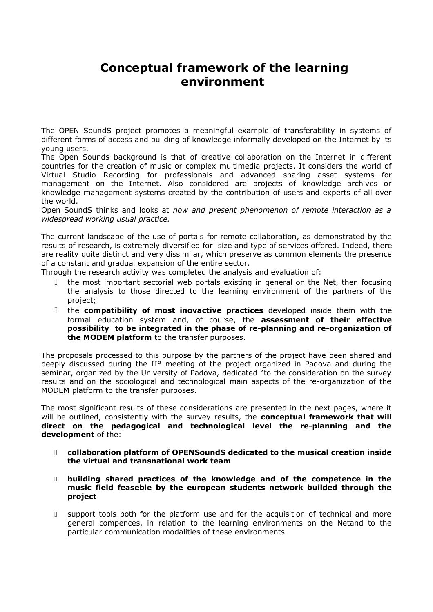# **Conceptual framework of the learning environment**

The OPEN SoundS project promotes a meaningful example of transferability in systems of different forms of access and building of knowledge informally developed on the Internet by its young users.

The Open Sounds background is that of creative collaboration on the Internet in different countries for the creation of music or complex multimedia projects. It considers the world of Virtual Studio Recording for professionals and advanced sharing asset systems for management on the Internet. Also considered are projects of knowledge archives or knowledge management systems created by the contribution of users and experts of all over the world.

Open SoundS thinks and looks at *now and present phenomenon of remote interaction as a widespread working usual practice.*

The current landscape of the use of portals for remote collaboration, as demonstrated by the results of research, is extremely diversified for size and type of services offered. Indeed, there are reality quite distinct and very dissimilar, which preserve as common elements the presence of a constant and gradual expansion of the entire sector.

Through the research activity was completed the analysis and evaluation of:

- I the most important sectorial web portals existing in general on the Net, then focusing the analysis to those directed to the learning environment of the partners of the project;
- the **compatibility of most inovactive practices** developed inside them with the formal education system and, of course, the **assessment of their effective possibility to be integrated in the phase of re-planning and re-organization of the MODEM platform** to the transfer purposes.

The proposals processed to this purpose by the partners of the project have been shared and deeply discussed during the II° meeting of the project organized in Padova and during the seminar, organized by the University of Padova, dedicated "to the consideration on the survey results and on the sociological and technological main aspects of the re-organization of the MODEM platform to the transfer purposes.

The most significant results of these considerations are presented in the next pages, where it will be outlined, consistently with the survey results, the **conceptual framework that will direct on the pedagogical and technological level the re-planning and the development** of the:

- **collaboration platform of OPENSoundS dedicated to the musical creation inside the virtual and transnational work team**
- **building shared practices of the knowledge and of the competence in the music field feaseble by the european students network builded through the project**
- support tools both for the platform use and for the acquisition of technical and more general compences, in relation to the learning environments on the Netand to the particular communication modalities of these environments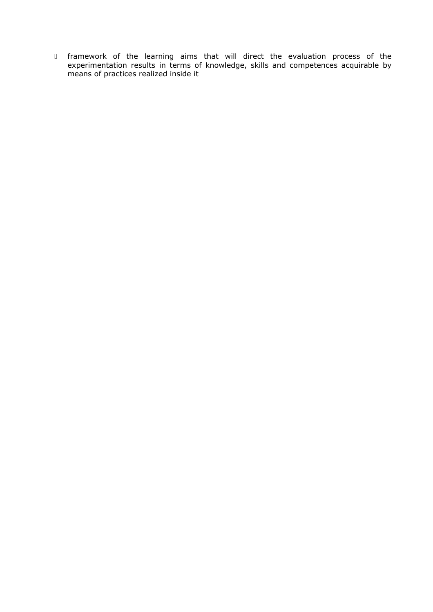framework of the learning aims that will direct the evaluation process of the experimentation results in terms of knowledge, skills and competences acquirable by means of practices realized inside it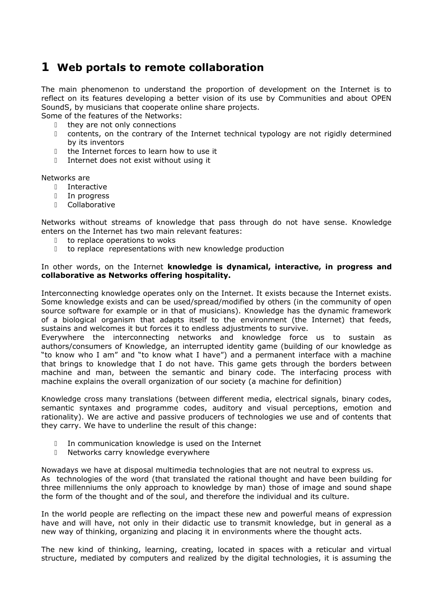## **1 Web portals to remote collaboration**

The main phenomenon to understand the proportion of development on the Internet is to reflect on its features developing a better vision of its use by Communities and about OPEN SoundS, by musicians that cooperate online share projects.

- Some of the features of the Networks:
	- $\Box$  they are not only connections
	- contents, on the contrary of the Internet technical typology are not rigidly determined by its inventors
	- $\mathbb I$  the Internet forces to learn how to use it
	- Internet does not exist without using it

Networks are

- Interactive
- In progress
- Collaborative

Networks without streams of knowledge that pass through do not have sense. Knowledge enters on the Internet has two main relevant features:

- □ to replace operations to woks
- to replace representations with new knowledge production

#### In other words, on the Internet **knowledge is dynamical, interactive, in progress and collaborative as Networks offering hospitality.**

Interconnecting knowledge operates only on the Internet. It exists because the Internet exists. Some knowledge exists and can be used/spread/modified by others (in the community of open source software for example or in that of musicians). Knowledge has the dynamic framework of a biological organism that adapts itself to the environment (the Internet) that feeds, sustains and welcomes it but forces it to endless adjustments to survive.

Everywhere the interconnecting networks and knowledge force us to sustain as authors/consumers of Knowledge, an interrupted identity game (building of our knowledge as "to know who I am" and "to know what I have") and a permanent interface with a machine that brings to knowledge that I do not have. This game gets through the borders between machine and man, between the semantic and binary code. The interfacing process with machine explains the overall organization of our society (a machine for definition)

Knowledge cross many translations (between different media, electrical signals, binary codes, semantic syntaxes and programme codes, auditory and visual perceptions, emotion and rationality). We are active and passive producers of technologies we use and of contents that they carry. We have to underline the result of this change:

- In communication knowledge is used on the Internet
- D Networks carry knowledge everywhere

Nowadays we have at disposal multimedia technologies that are not neutral to express us. As technologies of the word (that translated the rational thought and have been building for three millenniums the only approach to knowledge by man) those of image and sound shape the form of the thought and of the soul, and therefore the individual and its culture.

In the world people are reflecting on the impact these new and powerful means of expression have and will have, not only in their didactic use to transmit knowledge, but in general as a new way of thinking, organizing and placing it in environments where the thought acts.

The new kind of thinking, learning, creating, located in spaces with a reticular and virtual structure, mediated by computers and realized by the digital technologies, it is assuming the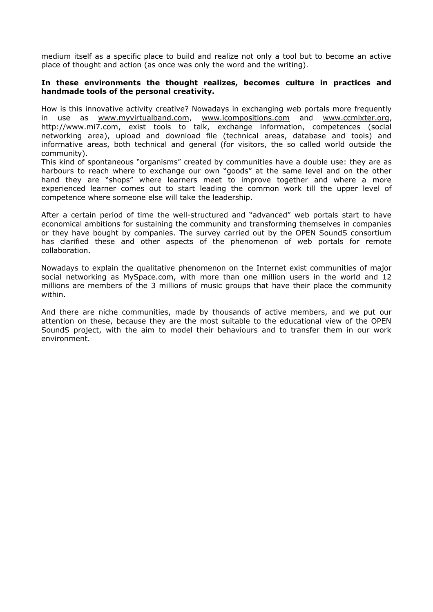medium itself as a specific place to build and realize not only a tool but to become an active place of thought and action (as once was only the word and the writing).

#### **In these environments the thought realizes, becomes culture in practices and handmade tools of the personal creativity.**

How is this innovative activity creative? Nowadays in exchanging web portals more frequently in use as [www.myvirtualband.com,](http://www.myvirtualband.com/) [www.icompositions.com](http://www.icompositions.com/) and [www.ccmixter.org,](http://www.ccmixter.org/) [http://www.mi7.com,](http://www.mi7.com/) exist tools to talk, exchange information, competences (social networking area), upload and download file (technical areas, database and tools) and informative areas, both technical and general (for visitors, the so called world outside the community).

This kind of spontaneous "organisms" created by communities have a double use: they are as harbours to reach where to exchange our own "goods" at the same level and on the other hand they are "shops" where learners meet to improve together and where a more experienced learner comes out to start leading the common work till the upper level of competence where someone else will take the leadership.

After a certain period of time the well-structured and "advanced" web portals start to have economical ambitions for sustaining the community and transforming themselves in companies or they have bought by companies. The survey carried out by the OPEN SoundS consortium has clarified these and other aspects of the phenomenon of web portals for remote collaboration.

Nowadays to explain the qualitative phenomenon on the Internet exist communities of major social networking as MySpace.com, with more than one million users in the world and 12 millions are members of the 3 millions of music groups that have their place the community within.

And there are niche communities, made by thousands of active members, and we put our attention on these, because they are the most suitable to the educational view of the OPEN SoundS project, with the aim to model their behaviours and to transfer them in our work environment.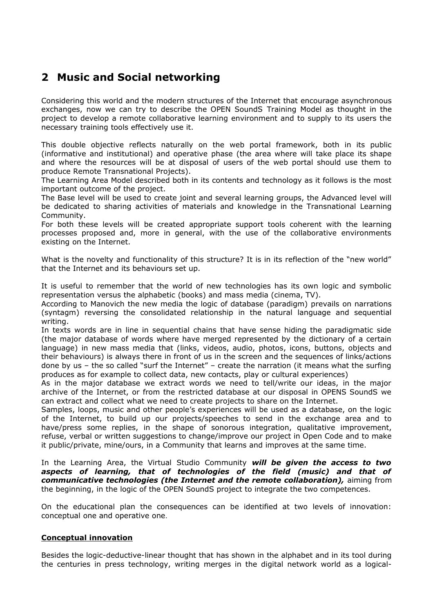## **2 Music and Social networking**

Considering this world and the modern structures of the Internet that encourage asynchronous exchanges, now we can try to describe the OPEN SoundS Training Model as thought in the project to develop a remote collaborative learning environment and to supply to its users the necessary training tools effectively use it.

This double objective reflects naturally on the web portal framework, both in its public (informative and institutional) and operative phase (the area where will take place its shape and where the resources will be at disposal of users of the web portal should use them to produce Remote Transnational Projects).

The Learning Area Model described both in its contents and technology as it follows is the most important outcome of the project.

The Base level will be used to create joint and several learning groups, the Advanced level will be dedicated to sharing activities of materials and knowledge in the Transnational Learning Community.

For both these levels will be created appropriate support tools coherent with the learning processes proposed and, more in general, with the use of the collaborative environments existing on the Internet.

What is the novelty and functionality of this structure? It is in its reflection of the "new world" that the Internet and its behaviours set up.

It is useful to remember that the world of new technologies has its own logic and symbolic representation versus the alphabetic (books) and mass media (cinema, TV).

According to Manovich the new media the logic of database (paradigm) prevails on narrations (syntagm) reversing the consolidated relationship in the natural language and sequential writing.

In texts words are in line in sequential chains that have sense hiding the paradigmatic side (the major database of words where have merged represented by the dictionary of a certain language) in new mass media that (links, videos, audio, photos, icons, buttons, objects and their behaviours) is always there in front of us in the screen and the sequences of links/actions done by us – the so called "surf the Internet" – create the narration (it means what the surfing produces as for example to collect data, new contacts, play or cultural experiences)

As in the major database we extract words we need to tell/write our ideas, in the major archive of the Internet, or from the restricted database at our disposal in OPENS SoundS we can extract and collect what we need to create projects to share on the Internet.

Samples, loops, music and other people's experiences will be used as a database, on the logic of the Internet, to build up our projects/speeches to send in the exchange area and to have/press some replies, in the shape of sonorous integration, qualitative improvement, refuse, verbal or written suggestions to change/improve our project in Open Code and to make it public/private, mine/ours, in a Community that learns and improves at the same time.

In the Learning Area, the Virtual Studio Community *will be given the access to two aspects of learning, that of technologies of the field (music) and that of communicative technologies (the Internet and the remote collaboration),* aiming from the beginning, in the logic of the OPEN SoundS project to integrate the two competences.

On the educational plan the consequences can be identified at two levels of innovation: conceptual one and operative one.

#### **Conceptual innovation**

Besides the logic-deductive-linear thought that has shown in the alphabet and in its tool during the centuries in press technology, writing merges in the digital network world as a logical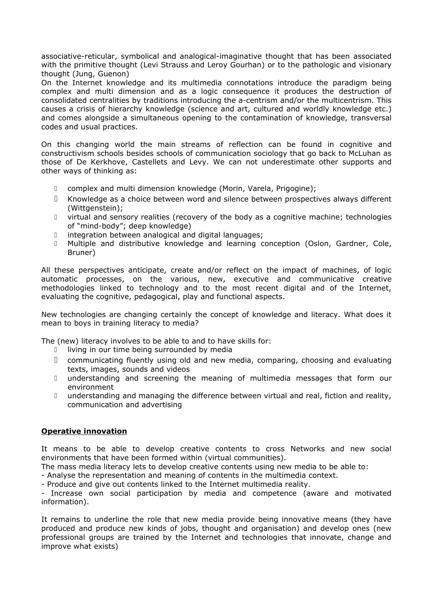associative-reticular, symbolical and analogical-imaginative thought that has been associated with the primitive thought (Levi Strauss and Leroy Gourhan) or to the pathologic and visionary thought (Jung, Guenon)

On the Internet knowledge and its multimedia connotations introduce the paradigm being complex and multi dimension and as a logic consequence it produces the destruction of consolidated centralities by traditions introducing the a-centrism and/or the multicentrism. This causes a crisis of hierarchy knowledge (science and art, cultured and worldly knowledge etc.) and comes alongside a simultaneous opening to the contamination of knowledge, transversal codes and usual practices.

On this changing world the main streams of reflection can be found in cognitive and constructivism schools besides schools of communication sociology that go back to McLuhan as those of De Kerkhove, Castellets and Levy. We can not underestimate other supports and other ways of thinking as:

- complex and multi dimension knowledge (Morin, Varela, Prigogine);
- Knowledge as a choice between word and silence between prospectives always different (Wittgenstein);
- virtual and sensory realities (recovery of the body as a cognitive machine; technologies of "mind-body"; deep knowledge)
- integration between analogical and digital languages;
- Multiple and distributive knowledge and learning conception (Oslon, Gardner, Cole, Bruner)

All these perspectives anticipate, create and/or reflect on the impact of machines, of logic automatic processes, on the various, new, executive and communicative creative methodologies linked to technology and to the most recent digital and of the Internet, evaluating the cognitive, pedagogical, play and functional aspects.

New technologies are changing certainly the concept of knowledge and literacy. What does it mean to boys in training literacy to media?

The (new) literacy involves to be able to and to have skills for:

- I living in our time being surrounded by media
- communicating fluently using old and new media, comparing, choosing and evaluating texts, images, sounds and videos
- understanding and screening the meaning of multimedia messages that form our environment
- I understanding and managing the difference between virtual and real, fiction and reality, communication and advertising

#### **Operative innovation**

It means to be able to develop creative contents to cross Networks and new social environments that have been formed within (virtual communities).

The mass media literacy lets to develop creative contents using new media to be able to:

- Analyse the representation and meaning of contents in the multimedia context.

- Produce and give out contents linked to the Internet multimedia reality.

- Increase own social participation by media and competence (aware and motivated information).

It remains to underline the role that new media provide being innovative means (they have produced and produce new kinds of jobs, thought and organisation) and develop ones (new professional groups are trained by the Internet and technologies that innovate, change and improve what exists)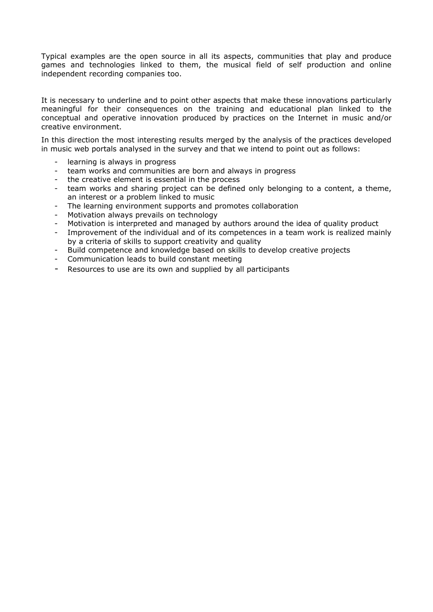Typical examples are the open source in all its aspects, communities that play and produce games and technologies linked to them, the musical field of self production and online independent recording companies too.

It is necessary to underline and to point other aspects that make these innovations particularly meaningful for their consequences on the training and educational plan linked to the conceptual and operative innovation produced by practices on the Internet in music and/or creative environment.

In this direction the most interesting results merged by the analysis of the practices developed in music web portals analysed in the survey and that we intend to point out as follows:

- learning is always in progress
- team works and communities are born and always in progress
- the creative element is essential in the process
- team works and sharing project can be defined only belonging to a content, a theme, an interest or a problem linked to music
- The learning environment supports and promotes collaboration
- Motivation always prevails on technology
- Motivation is interpreted and managed by authors around the idea of quality product
- Improvement of the individual and of its competences in a team work is realized mainly by a criteria of skills to support creativity and quality
- Build competence and knowledge based on skills to develop creative projects
- Communication leads to build constant meeting
- Resources to use are its own and supplied by all participants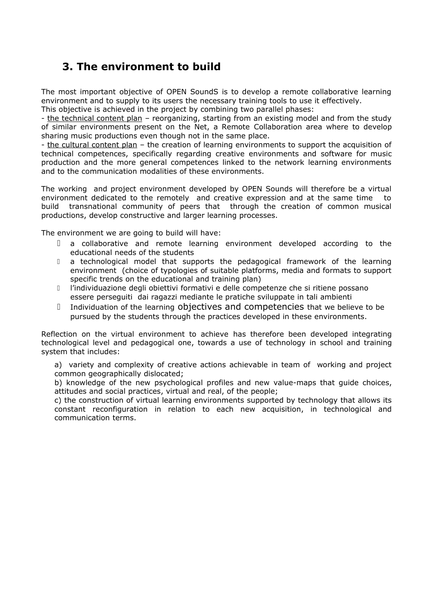## **3. The environment to build**

The most important objective of OPEN SoundS is to develop a remote collaborative learning environment and to supply to its users the necessary training tools to use it effectively. This objective is achieved in the project by combining two parallel phases:

- the technical content plan - reorganizing, starting from an existing model and from the study of similar environments present on the Net, a Remote Collaboration area where to develop sharing music productions even though not in the same place.

- the cultural content plan – the creation of learning environments to support the acquisition of technical competences, specifically regarding creative environments and software for music production and the more general competences linked to the network learning environments and to the communication modalities of these environments.

The working and project environment developed by OPEN Sounds will therefore be a virtual environment dedicated to the remotely and creative expression and at the same time to build transnational community of peers that through the creation of common musical productions, develop constructive and larger learning processes.

The environment we are going to build will have:

- a collaborative and remote learning environment developed according to the educational needs of the students
- D a technological model that supports the pedagogical framework of the learning environment (choice of typologies of suitable platforms, media and formats to support specific trends on the educational and training plan)
- l'individuazione degli obiettivi formativi e delle competenze che si ritiene possano essere perseguiti dai ragazzi mediante le pratiche sviluppate in tali ambienti
- Individuation of the learning objectives and competencies that we believe to be pursued by the students through the practices developed in these environments.

Reflection on the virtual environment to achieve has therefore been developed integrating technological level and pedagogical one, towards a use of technology in school and training system that includes:

a) variety and complexity of creative actions achievable in team of working and project common geographically dislocated;

b) knowledge of the new psychological profiles and new value-maps that guide choices, attitudes and social practices, virtual and real, of the people;

c) the construction of virtual learning environments supported by technology that allows its constant reconfiguration in relation to each new acquisition, in technological and communication terms.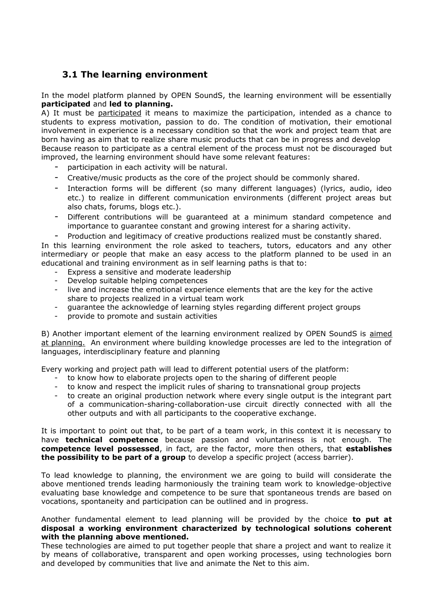### **3.1 The learning environment**

In the model platform planned by OPEN SoundS, the learning environment will be essentially **participated** and **led to planning.**

A) It must be participated it means to maximize the participation, intended as a chance to students to express motivation, passion to do. The condition of motivation, their emotional involvement in experience is a necessary condition so that the work and project team that are born having as aim that to realize share music products that can be in progress and develop Because reason to participate as a central element of the process must not be discouraged but

improved, the learning environment should have some relevant features:

- participation in each activity will be natural.
- Creative/music products as the core of the project should be commonly shared.
- Interaction forms will be different (so many different languages) (lyrics, audio, ideo etc.) to realize in different communication environments (different project areas but also chats, forums, blogs etc.).
- Different contributions will be guaranteed at a minimum standard competence and importance to guarantee constant and growing interest for a sharing activity.
- Production and legitimacy of creative productions realized must be constantly shared.

In this learning environment the role asked to teachers, tutors, educators and any other intermediary or people that make an easy access to the platform planned to be used in an educational and training environment as in self learning paths is that to:

- Express a sensitive and moderate leadership
- Develop suitable helping competences
- live and increase the emotional experience elements that are the key for the active share to projects realized in a virtual team work
- guarantee the acknowledge of learning styles regarding different project groups
- provide to promote and sustain activities

B) Another important element of the learning environment realized by OPEN SoundS is aimed at planning. An environment where building knowledge processes are led to the integration of languages, interdisciplinary feature and planning

Every working and project path will lead to different potential users of the platform:

- to know how to elaborate projects open to the sharing of different people
- to know and respect the implicit rules of sharing to transnational group projects
- to create an original production network where every single output is the integrant part of a communication-sharing-collaboration-use circuit directly connected with all the other outputs and with all participants to the cooperative exchange.

It is important to point out that, to be part of a team work, in this context it is necessary to have **technical competence** because passion and voluntariness is not enough. The **competence level possessed**, in fact, are the factor, more then others, that **establishes the possibility to be part of a group** to develop a specific project (access barrier).

To lead knowledge to planning, the environment we are going to build will considerate the above mentioned trends leading harmoniously the training team work to knowledge-objective evaluating base knowledge and competence to be sure that spontaneous trends are based on vocations, spontaneity and participation can be outlined and in progress.

Another fundamental element to lead planning will be provided by the choice **to put at disposal a working environment characterized by technological solutions coherent with the planning above mentioned.**

These technologies are aimed to put together people that share a project and want to realize it by means of collaborative, transparent and open working processes, using technologies born and developed by communities that live and animate the Net to this aim.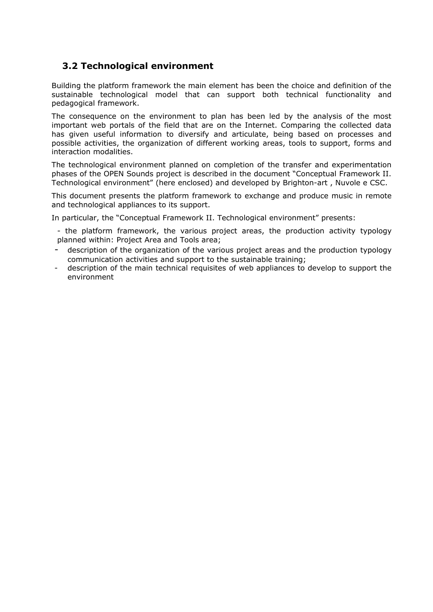### **3.2 Technological environment**

Building the platform framework the main element has been the choice and definition of the sustainable technological model that can support both technical functionality and pedagogical framework.

The consequence on the environment to plan has been led by the analysis of the most important web portals of the field that are on the Internet. Comparing the collected data has given useful information to diversify and articulate, being based on processes and possible activities, the organization of different working areas, tools to support, forms and interaction modalities.

The technological environment planned on completion of the transfer and experimentation phases of the OPEN Sounds project is described in the document "Conceptual Framework II. Technological environment" (here enclosed) and developed by Brighton-art , Nuvole e CSC.

This document presents the platform framework to exchange and produce music in remote and technological appliances to its support.

In particular, the "Conceptual Framework II. Technological environment" presents:

- the platform framework, the various project areas, the production activity typology planned within: Project Area and Tools area;

- description of the organization of the various project areas and the production typology communication activities and support to the sustainable training;
- description of the main technical requisites of web appliances to develop to support the environment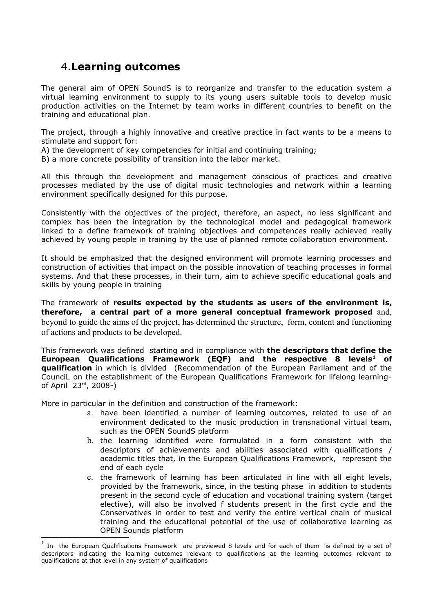### 4.**Learning outcomes**

The general aim of OPEN SoundS is to reorganize and transfer to the education system a virtual learning environment to supply to its young users suitable tools to develop music production activities on the Internet by team works in different countries to benefit on the training and educational plan.

The project, through a highly innovative and creative practice in fact wants to be a means to stimulate and support for:

- A) the development of key competencies for initial and continuing training;
- B) a more concrete possibility of transition into the labor market.

All this through the development and management conscious of practices and creative processes mediated by the use of digital music technologies and network within a learning environment specifically designed for this purpose.

Consistently with the objectives of the project, therefore, an aspect, no less significant and complex has been the integration by the technological model and pedagogical framework linked to a define framework of training objectives and competences really achieved really achieved by young people in training by the use of planned remote collaboration environment.

It should be emphasized that the designed environment will promote learning processes and construction of activities that impact on the possible innovation of teaching processes in formal systems. And that these processes, in their turn, aim to achieve specific educational goals and skills by young people in training

The framework of **results expected by the students as users of the environment is, therefore, a central part of a more general conceptual framework proposed** and, beyond to guide the aims of the project, has determined the structure, form, content and functioning of actions and products to be developed.

This framework was defined starting and in compliance with **the descriptors that define the European Qualifications Framework (EQF) and the respective 8 levels[1](#page-10-0) of qualification** in which is divided (Recommendation of the European Parliament and of the CounciL on the establishment of the European Qualifications Framework for lifelong learningof April 23rd, 2008-)

More in particular in the definition and construction of the framework:

- a. have been identified a number of learning outcomes, related to use of an environment dedicated to the music production in transnational virtual team, such as the OPEN SoundS platform
- b. the learning identified were formulated in a form consistent with the descriptors of achievements and abilities associated with qualifications / academic titles that, in the European Qualifications Framework, represent the end of each cycle
- c. the framework of learning has been articulated in line with all eight levels, provided by the framework, since, in the testing phase in addition to students present in the second cycle of education and vocational training system (target elective), will also be involved f students present in the first cycle and the Conservatives in order to test and verify the entire vertical chain of musical training and the educational potential of the use of collaborative learning as OPEN Sounds platform

<span id="page-10-0"></span><sup>1</sup> In the European Qualifications Framework are previewed 8 levels and for each of them is defined by a set of descriptors indicating the learning outcomes relevant to qualifications at the learning outcomes relevant to qualifications at that level in any system of qualifications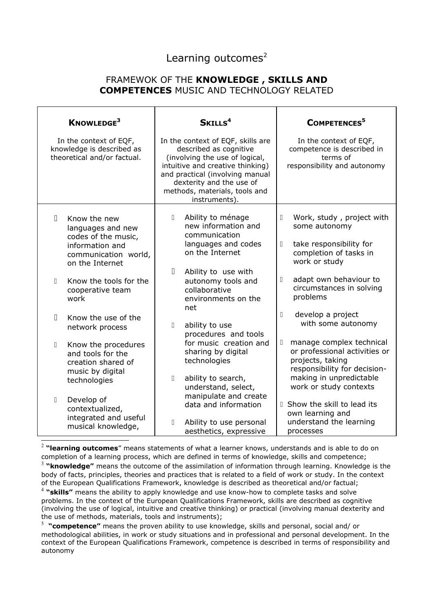### Learning outcomes $2$

### FRAMEWOK OF THE **KNOWLEDGE , SKILLS AND COMPETENCES** MUSIC AND TECHNOLOGY RELATED

| KNOWLEDGE <sup>3</sup>                                                             |                                                                                                                                                                      | SKILLS <sup>4</sup>                                                                                                                                                                                                                                |                                                                                                                                                                   |               | COMPETENCES <sup>5</sup>                                                                                                                                               |
|------------------------------------------------------------------------------------|----------------------------------------------------------------------------------------------------------------------------------------------------------------------|----------------------------------------------------------------------------------------------------------------------------------------------------------------------------------------------------------------------------------------------------|-------------------------------------------------------------------------------------------------------------------------------------------------------------------|---------------|------------------------------------------------------------------------------------------------------------------------------------------------------------------------|
| In the context of EQF,<br>knowledge is described as<br>theoretical and/or factual. |                                                                                                                                                                      | In the context of EQF, skills are<br>described as cognitive<br>(involving the use of logical,<br>intuitive and creative thinking)<br>and practical (involving manual<br>dexterity and the use of<br>methods, materials, tools and<br>instruments). |                                                                                                                                                                   |               | In the context of EQF,<br>competence is described in<br>terms of<br>responsibility and autonomy                                                                        |
| П.<br>$\mathbb{R}$                                                                 | Know the new<br>languages and new<br>codes of the music,<br>information and<br>communication world,<br>on the Internet<br>Know the tools for the<br>cooperative team | П<br>П                                                                                                                                                                                                                                             | Ability to ménage<br>new information and<br>communication<br>languages and codes<br>on the Internet<br>Ability to use with<br>autonomy tools and<br>collaborative | П<br>П.<br>П. | Work, study, project with<br>some autonomy<br>take responsibility for<br>completion of tasks in<br>work or study<br>adapt own behaviour to<br>circumstances in solving |
| П.                                                                                 | work<br>Know the use of the<br>network process                                                                                                                       | $\mathbb{I}$                                                                                                                                                                                                                                       | environments on the<br>net<br>ability to use                                                                                                                      | $\Box$        | problems<br>develop a project<br>with some autonomy                                                                                                                    |
| П.                                                                                 | Know the procedures<br>and tools for the<br>creation shared of<br>music by digital<br>technologies                                                                   | Π                                                                                                                                                                                                                                                  | procedures and tools<br>for music creation and<br>sharing by digital<br>technologies<br>ability to search,<br>understand, select,                                 | П.            | manage complex technical<br>or professional activities or<br>projects, taking<br>responsibility for decision-<br>making in unpredictable<br>work or study contexts     |
| П.                                                                                 | Develop of<br>contextualized,<br>integrated and useful<br>musical knowledge,                                                                                         | П.                                                                                                                                                                                                                                                 | manipulate and create<br>data and information<br>Ability to use personal<br>aesthetics, expressive                                                                |               | <b>I</b> Show the skill to lead its<br>own learning and<br>understand the learning<br>processes                                                                        |

<span id="page-11-1"></span><span id="page-11-0"></span>2 **"learning outcomes**" means statements of what a learner knows, understands and is able to do on completion of a learning process, which are defined in terms of knowledge, skills and competence; 3 **"knowledge"** means the outcome of the assimilation of information through learning. Knowledge is the body of facts, principles, theories and practices that is related to a field of work or study. In the context of the European Qualifications Framework, knowledge is described as theoretical and/or factual; 4 **"skills"** means the ability to apply knowledge and use know-how to complete tasks and solve problems. In the context of the European Qualifications Framework, skills are described as cognitive (involving the use of logical, intuitive and creative thinking) or practical (involving manual dexterity and the use of methods, materials, tools and instruments);

<span id="page-11-3"></span><span id="page-11-2"></span><sup>5</sup> "competence" means the proven ability to use knowledge, skills and personal, social and/ or methodological abilities, in work or study situations and in professional and personal development. In the context of the European Qualifications Framework, competence is described in terms of responsibility and autonomy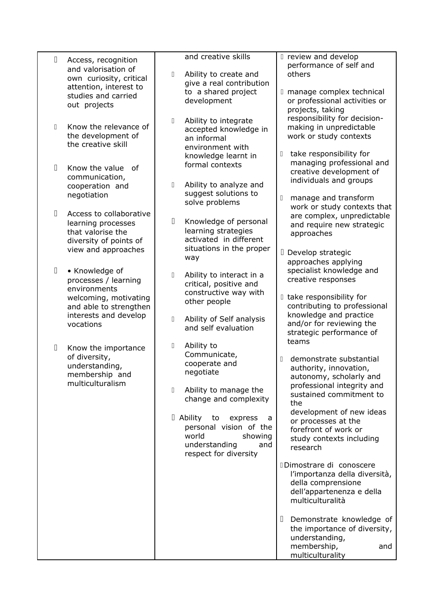| П            | Access, recognition<br>and valorisation of<br>own curiosity, critical<br>attention, interest to<br>studies and carried                          | and creative skills<br>Ability to create and<br>$\Box$<br>give a real contribution<br>to a shared project<br>development                                                                                                                                                                         | I review and develop<br>performance of self and<br>others<br>I manage complex technical<br>or professional activities or                                                                                                                                                                                                                             |
|--------------|-------------------------------------------------------------------------------------------------------------------------------------------------|--------------------------------------------------------------------------------------------------------------------------------------------------------------------------------------------------------------------------------------------------------------------------------------------------|------------------------------------------------------------------------------------------------------------------------------------------------------------------------------------------------------------------------------------------------------------------------------------------------------------------------------------------------------|
| $\mathbb{R}$ | out projects<br>Know the relevance of<br>the development of<br>the creative skill                                                               | Ability to integrate<br>$\Box$<br>accepted knowledge in<br>an informal<br>environment with                                                                                                                                                                                                       | projects, taking<br>responsibility for decision-<br>making in unpredictable<br>work or study contexts<br>take responsibility for<br>$\Box$                                                                                                                                                                                                           |
| Π            | Know the value<br>Ωf<br>communication,<br>cooperation and<br>negotiation                                                                        | knowledge learnt in<br>formal contexts<br>$\hfill\Box$<br>Ability to analyze and<br>suggest solutions to<br>solve problems                                                                                                                                                                       | managing professional and<br>creative development of<br>individuals and groups<br>$\begin{bmatrix} \phantom{-} \end{bmatrix}$<br>manage and transform                                                                                                                                                                                                |
| $\Box$       | Access to collaborative<br>learning processes<br>that valorise the<br>diversity of points of<br>view and approaches                             | $\Box$<br>Knowledge of personal<br>learning strategies<br>activated in different<br>situations in the proper                                                                                                                                                                                     | work or study contexts that<br>are complex, unpredictable<br>and require new strategic<br>approaches<br>D Develop strategic                                                                                                                                                                                                                          |
| $\Box$       | • Knowledge of<br>processes / learning<br>environments<br>welcoming, motivating<br>and able to strengthen<br>interests and develop<br>vocations | way<br>Ability to interact in a<br>$\begin{array}{c} \square \end{array}$<br>critical, positive and<br>constructive way with<br>other people<br>Ability of Self analysis<br>0<br>and self evaluation                                                                                             | approaches applying<br>specialist knowledge and<br>creative responses<br>I take responsibility for<br>contributing to professional<br>knowledge and practice<br>and/or for reviewing the<br>strategic performance of                                                                                                                                 |
| П            | Know the importance<br>of diversity,<br>understanding,<br>membership and<br>multiculturalism                                                    | 0<br>Ability to<br>Communicate,<br>cooperate and<br>negotiate<br>Ability to manage the<br>$\begin{array}{c} \square \end{array}$<br>change and complexity<br>$\Box$ Ability<br>to<br>express<br>a<br>personal vision of the<br>world<br>showing<br>understanding<br>and<br>respect for diversity | teams<br>demonstrate substantial<br>$\mathbb{I}$<br>authority, innovation,<br>autonomy, scholarly and<br>professional integrity and<br>sustained commitment to<br>the<br>development of new ideas<br>or processes at the<br>forefront of work or<br>study contexts including<br>research<br>Dimostrare di conoscere<br>l'importanza della diversità, |
|              |                                                                                                                                                 |                                                                                                                                                                                                                                                                                                  | della comprensione<br>dell'appartenenza e della<br>multiculturalità<br>Demonstrate knowledge of<br>Ш<br>the importance of diversity,<br>understanding,<br>membership,<br>and<br>multiculturality                                                                                                                                                     |